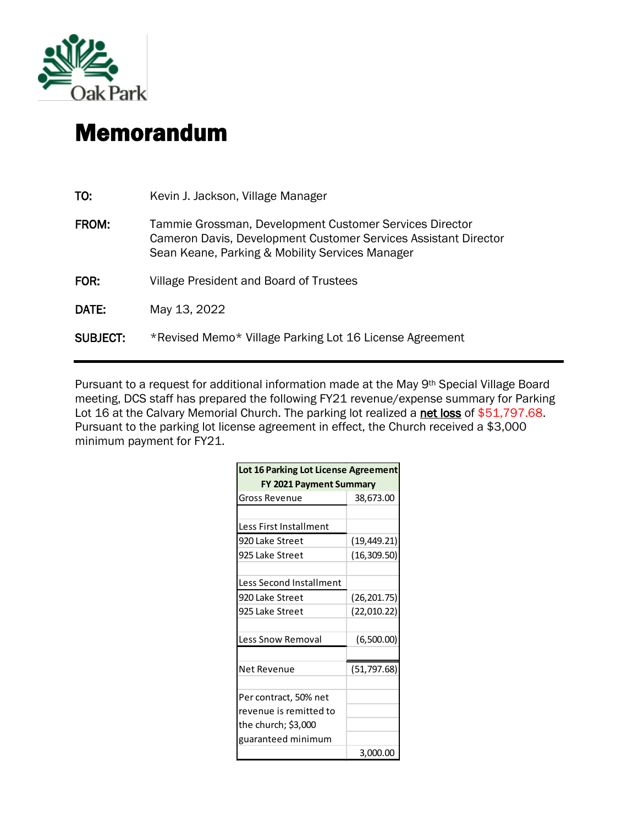

## Memorandum

| TO:             | Kevin J. Jackson, Village Manager                                                                                                                                             |
|-----------------|-------------------------------------------------------------------------------------------------------------------------------------------------------------------------------|
| <b>FROM:</b>    | Tammie Grossman, Development Customer Services Director<br>Cameron Davis, Development Customer Services Assistant Director<br>Sean Keane, Parking & Mobility Services Manager |
| FOR:            | Village President and Board of Trustees                                                                                                                                       |
| DATE:           | May 13, 2022                                                                                                                                                                  |
| <b>SUBJECT:</b> | *Revised Memo* Village Parking Lot 16 License Agreement                                                                                                                       |

Pursuant to a request for additional information made at the May 9<sup>th</sup> Special Village Board meeting, DCS staff has prepared the following FY21 revenue/expense summary for Parking Lot 16 at the Calvary Memorial Church. The parking lot realized a net loss of \$51,797.68. Pursuant to the parking lot license agreement in effect, the Church received a \$3,000 minimum payment for FY21.

| Lot 16 Parking Lot License Agreement |              |  |  |
|--------------------------------------|--------------|--|--|
| <b>FY 2021 Payment Summary</b>       |              |  |  |
| Gross Revenue                        | 38,673.00    |  |  |
|                                      |              |  |  |
| Less First Installment               |              |  |  |
| 920 Lake Street                      | (19, 449.21) |  |  |
| 925 Lake Street                      | (16, 309.50) |  |  |
|                                      |              |  |  |
| Less Second Installment              |              |  |  |
| 920 Lake Street                      | (26, 201.75) |  |  |
| 925 Lake Street                      | (22,010.22)  |  |  |
|                                      |              |  |  |
| Less Snow Removal                    | (6,500.00)   |  |  |
|                                      |              |  |  |
| Net Revenue                          | (51, 797.68) |  |  |
|                                      |              |  |  |
| Per contract, 50% net                |              |  |  |
| revenue is remitted to               |              |  |  |
| the church; \$3,000                  |              |  |  |
| guaranteed minimum                   |              |  |  |
|                                      | 3,000.00     |  |  |